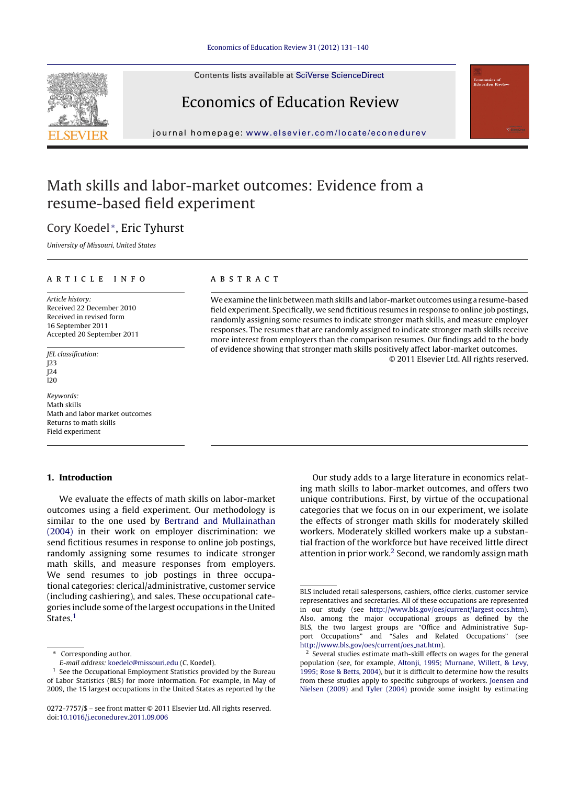Contents lists available at SciVerse [ScienceDirect](http://www.sciencedirect.com/science/journal/02727757)

# Economics of Education Review

journal homepage: [www.elsevier.com/locate/econedurev](http://www.elsevier.com/locate/econedurev)

## Math skills and labor-market outcomes: Evidence from a resume-based field experiment

## Cory Koedel <sup>∗</sup>, Eric Tyhurst

University of Missouri, United States

#### a r t i c l e i n f o

Article history: Received 22 December 2010 Received in revised form 16 September 2011 Accepted 20 September 2011

JEL classification: J23 J24  $120$ 

Keywords: Math skills Math and labor market outcomes Returns to math skills Field experiment

#### **1. Introduction**

We evaluate the effects of math skills on labor-market outcomes using a field experiment. Our methodology is similar to the one used by [Bertrand](#page--1-0) [and](#page--1-0) [Mullainathan](#page--1-0) [\(2004\)](#page--1-0) in their work on employer discrimination: we send fictitious resumes in response to online job postings, randomly assigning some resumes to indicate stronger math skills, and measure responses from employers. We send resumes to job postings in three occupational categories: clerical/administrative, customer service (including cashiering), and sales. These occupational categories include some ofthe largest occupations in the United States.<sup>1</sup>

#### A B S T R A C T

We examine the link between math skills and labor-market outcomes using a resume-based field experiment. Specifically, we send fictitious resumes in response to online job postings, randomly assigning some resumes to indicate stronger math skills, and measure employer responses. The resumes that are randomly assigned to indicate stronger math skills receive more interest from employers than the comparison resumes. Our findings add to the body of evidence showing that stronger math skills positively affect labor-market outcomes.

© 2011 Elsevier Ltd. All rights reserved.

Our study adds to a large literature in economics relating math skills to labor-market outcomes, and offers two unique contributions. First, by virtue of the occupational categories that we focus on in our experiment, we isolate the effects of stronger math skills for moderately skilled workers. Moderately skilled workers make up a substantial fraction of the workforce but have received little direct attention in prior work.<sup>2</sup> Second, we randomly assign math



<sup>∗</sup> Corresponding author.

E-mail address: [koedelc@missouri.edu](mailto:koedelc@missouri.edu) (C. Koedel).

 $<sup>1</sup>$  See the Occupational Employment Statistics provided by the Bureau</sup> of Labor Statistics (BLS) for more information. For example, in May of 2009, the 15 largest occupations in the United States as reported by the

<sup>0272-7757/\$</sup> – see front matter © 2011 Elsevier Ltd. All rights reserved. doi:[10.1016/j.econedurev.2011.09.006](dx.doi.org/10.1016/j.econedurev.2011.09.006)

BLS included retail salespersons, cashiers, office clerks, customer service representatives and secretaries. All of these occupations are represented in our study (see [http://www.bls.gov/oes/current/largest](http://www.bls.gov/oes/current/largest_occs.htm) occs.htm). Also, among the major occupational groups as defined by the BLS, the two largest groups are "Office and Administrative Support Occupations" and "Sales and Related Occupations" (see [http://www.bls.gov/oes/current/oes](http://www.bls.gov/oes/current/oes_nat.htm) nat.htm).

Several studies estimate math-skill effects on wages for the general population (see, for example, [Altonji,](#page--1-0) [1995;](#page--1-0) [Murnane,](#page--1-0) [Willett,](#page--1-0) [&](#page--1-0) [Levy,](#page--1-0) [1995;](#page--1-0) [Rose](#page--1-0) [&](#page--1-0) [Betts,](#page--1-0) [2004\),](#page--1-0) but it is difficult to determine how the results from these studies apply to specific subgroups of workers. [Joensen](#page--1-0) [and](#page--1-0) [Nielsen](#page--1-0) [\(2009\)](#page--1-0) and [Tyler](#page--1-0) [\(2004\)](#page--1-0) provide some insight by estimating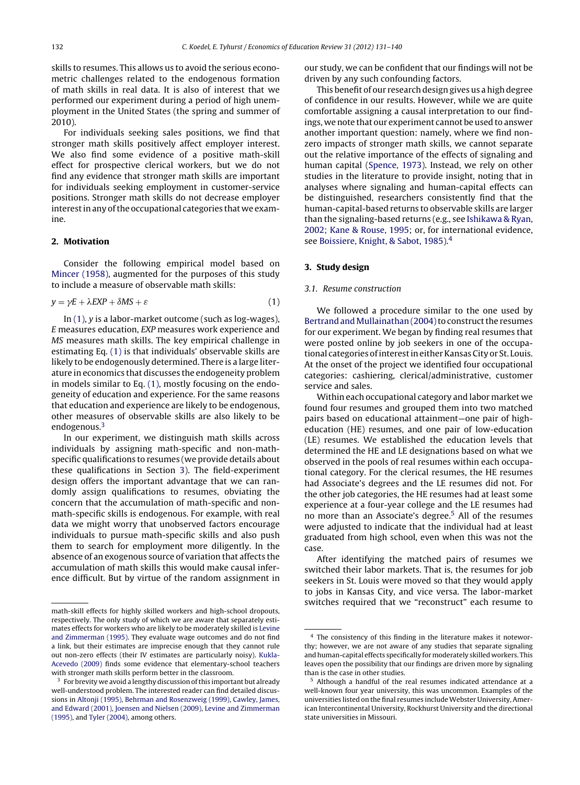skills to resumes. This allows us to avoid the serious econometric challenges related to the endogenous formation of math skills in real data. It is also of interest that we performed our experiment during a period of high unemployment in the United States (the spring and summer of 2010).

For individuals seeking sales positions, we find that stronger math skills positively affect employer interest. We also find some evidence of a positive math-skill effect for prospective clerical workers, but we do not find any evidence that stronger math skills are important for individuals seeking employment in customer-service positions. Stronger math skills do not decrease employer interest in any of the occupational categories that we examine.

### **2. Motivation**

Consider the following empirical model based on [Mincer](#page--1-0) [\(1958\),](#page--1-0) augmented for the purposes of this study to include a measure of observable math skills:

$$
y = \gamma E + \lambda EXP + \delta MS + \varepsilon \tag{1}
$$

In  $(1)$ ,  $\nu$  is a labor-market outcome (such as log-wages), E measures education, EXP measures work experience and MS measures math skills. The key empirical challenge in estimating Eq. (1) is that individuals' observable skills are likely to be endogenously determined. There is a large literature in economics that discusses the endogeneity problem in models similar to Eq. (1), mostly focusing on the endogeneity of education and experience. For the same reasons that education and experience are likely to be endogenous, other measures of observable skills are also likely to be endogenous.<sup>3</sup>

In our experiment, we distinguish math skills across individuals by assigning math-specific and non-mathspecific qualifications to resumes (we provide details about these qualifications in Section 3). The field-experiment design offers the important advantage that we can randomly assign qualifications to resumes, obviating the concern that the accumulation of math-specific and nonmath-specific skills is endogenous. For example, with real data we might worry that unobserved factors encourage individuals to pursue math-specific skills and also push them to search for employment more diligently. In the absence of an exogenous source of variation that affects the accumulation of math skills this would make causal inference difficult. But by virtue of the random assignment in our study, we can be confident that our findings will not be driven by any such confounding factors.

This benefit of our research design gives us a high degree of confidence in our results. However, while we are quite comfortable assigning a causal interpretation to our findings, we note that our experiment cannot be used to answer another important question: namely, where we find nonzero impacts of stronger math skills, we cannot separate out the relative importance of the effects of signaling and human capital [\(Spence,](#page--1-0) [1973\).](#page--1-0) Instead, we rely on other studies in the literature to provide insight, noting that in analyses where signaling and human-capital effects can be distinguished, researchers consistently find that the human-capital-based returns to observable skills are larger than the signaling-based returns (e.g., see [Ishikawa](#page--1-0) [&](#page--1-0) [Ryan,](#page--1-0) [2002;](#page--1-0) [Kane](#page--1-0) [&](#page--1-0) [Rouse,](#page--1-0) [1995;](#page--1-0) or, for international evidence, see [Boissiere,](#page--1-0) [Knight,](#page--1-0) [&](#page--1-0) [Sabot,](#page--1-0) [1985\).4](#page--1-0)

#### **3. Study design**

#### 3.1. Resume construction

We followed a procedure similar to the one used by Bertrand and Mullainathan (2004) to construct the resumes for our experiment. We began by finding real resumes that were posted online by job seekers in one of the occupational categories of interest in either Kansas City or St. Louis. At the onset of the project we identified four occupational categories: cashiering, clerical/administrative, customer service and sales.

Within each occupational category and labor market we found four resumes and grouped them into two matched pairs based on educational attainment—one pair of higheducation (HE) resumes, and one pair of low-education (LE) resumes. We established the education levels that determined the HE and LE designations based on what we observed in the pools of real resumes within each occupational category. For the clerical resumes, the HE resumes had Associate's degrees and the LE resumes did not. For the other job categories, the HE resumes had at least some experience at a four-year college and the LE resumes had no more than an Associate's degree.<sup>5</sup> All of the resumes were adjusted to indicate that the individual had at least graduated from high school, even when this was not the case.

After identifying the matched pairs of resumes we switched their labor markets. That is, the resumes for job seekers in St. Louis were moved so that they would apply to jobs in Kansas City, and vice versa. The labor-market switches required that we "reconstruct" each resume to

math-skill effects for highly skilled workers and high-school dropouts, respectively. The only study of which we are aware that separately estimates effects for workers who are likely to be moderately skilled is [Levine](#page--1-0) [and](#page--1-0) [Zimmerman](#page--1-0) [\(1995\).](#page--1-0) They evaluate wage outcomes and do not find a link, but their estimates are imprecise enough that they cannot rule out non-zero effects (their IV estimates are particularly noisy). [Kukla-](#page--1-0)Acevedo [\(2009\)](#page--1-0) finds some evidence that elementary-school teachers with stronger math skills perform better in the classroom.

 $3\,$  For brevity we avoid a lengthy discussion of this important but already well-understood problem. The interested reader can find detailed discussions in [Altonji](#page--1-0) [\(1995\),](#page--1-0) [Behrman](#page--1-0) [and](#page--1-0) [Rosenzweig](#page--1-0) [\(1999\),](#page--1-0) [Cawley,](#page--1-0) [James,](#page--1-0) [and](#page--1-0) [Edward](#page--1-0) [\(2001\),](#page--1-0) [Joensen](#page--1-0) [and](#page--1-0) [Nielsen](#page--1-0) [\(2009\),](#page--1-0) [Levine](#page--1-0) [and](#page--1-0) [Zimmerman](#page--1-0) [\(1995\),](#page--1-0) and [Tyler](#page--1-0) [\(2004\),](#page--1-0) among others.

<sup>4</sup> The consistency of this finding in the literature makes it noteworthy; however, we are not aware of any studies that separate signaling and human-capital effects specifically for moderately skilled workers. This leaves open the possibility that our findings are driven more by signaling than is the case in other studies.

<sup>5</sup> Although a handful of the real resumes indicated attendance at a well-known four year university, this was uncommon. Examples of the universities listed on the final resumes include Webster University, American Intercontinental University, Rockhurst University and the directional state universities in Missouri.